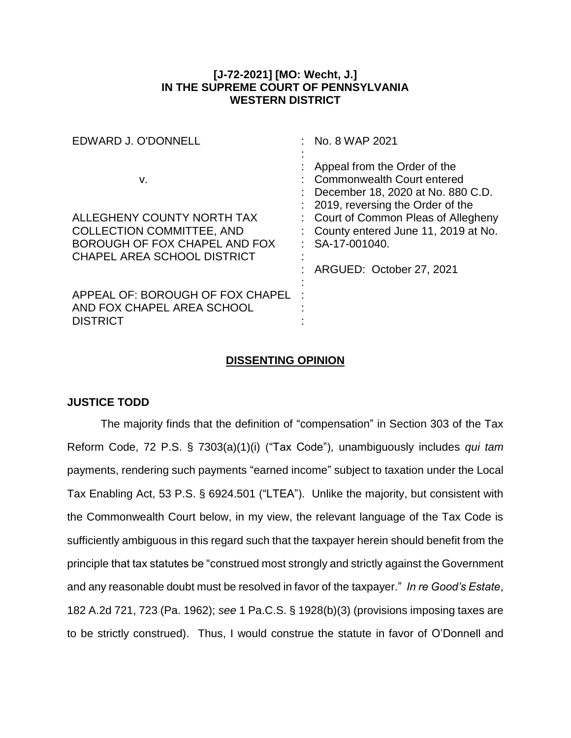## **[J-72-2021] [MO: Wecht, J.] IN THE SUPREME COURT OF PENNSYLVANIA WESTERN DISTRICT**

| EDWARD J. O'DONNELL                                                               | : No. 8 WAP 2021                                                                                                                                                            |
|-----------------------------------------------------------------------------------|-----------------------------------------------------------------------------------------------------------------------------------------------------------------------------|
| v.<br>ALLEGHENY COUNTY NORTH TAX                                                  | Appeal from the Order of the<br>Commonwealth Court entered<br>December 18, 2020 at No. 880 C.D.<br>2019, reversing the Order of the<br>: Court of Common Pleas of Allegheny |
| <b>COLLECTION COMMITTEE, AND</b><br>BOROUGH OF FOX CHAPEL AND FOX                 | County entered June 11, 2019 at No.<br>SA-17-001040.                                                                                                                        |
| <b>CHAPEL AREA SCHOOL DISTRICT</b>                                                | ARGUED: October 27, 2021                                                                                                                                                    |
| APPEAL OF: BOROUGH OF FOX CHAPEL<br>AND FOX CHAPEL AREA SCHOOL<br><b>DISTRICT</b> |                                                                                                                                                                             |

## **DISSENTING OPINION**

## **JUSTICE TODD**

The majority finds that the definition of "compensation" in Section 303 of the Tax Reform Code, 72 P.S. § 7303(a)(1)(i) ("Tax Code"), unambiguously includes *qui tam* payments, rendering such payments "earned income" subject to taxation under the Local Tax Enabling Act, 53 P.S. § 6924.501 ("LTEA"). Unlike the majority, but consistent with the Commonwealth Court below, in my view, the relevant language of the Tax Code is sufficiently ambiguous in this regard such that the taxpayer herein should benefit from the principle that tax statutes be "construed most strongly and strictly against the Government and any reasonable doubt must be resolved in favor of the taxpayer." *In re Good's Estate*, 182 A.2d 721, 723 (Pa. 1962); *see* 1 Pa.C.S. § 1928(b)(3) (provisions imposing taxes are to be strictly construed). Thus, I would construe the statute in favor of O'Donnell and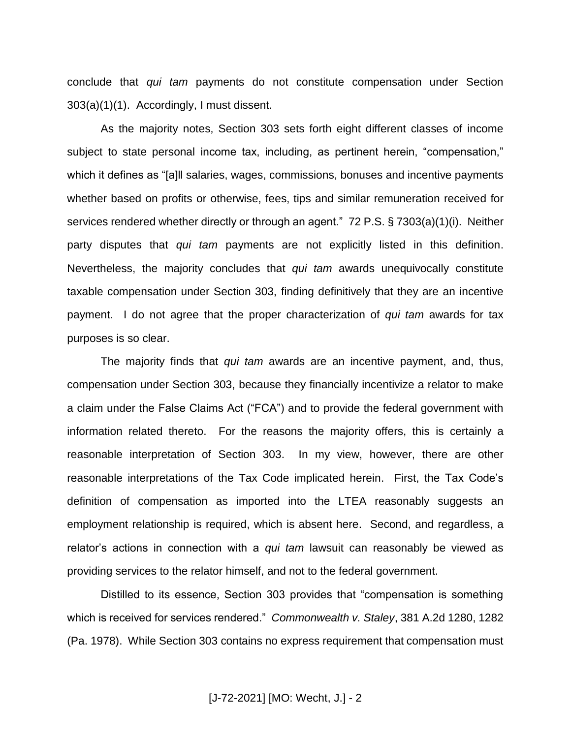conclude that *qui tam* payments do not constitute compensation under Section 303(a)(1)(1). Accordingly, I must dissent.

As the majority notes, Section 303 sets forth eight different classes of income subject to state personal income tax, including, as pertinent herein, "compensation," which it defines as "[a]ll salaries, wages, commissions, bonuses and incentive payments whether based on profits or otherwise, fees, tips and similar remuneration received for services rendered whether directly or through an agent." 72 P.S. § 7303(a)(1)(i). Neither party disputes that *qui tam* payments are not explicitly listed in this definition. Nevertheless, the majority concludes that *qui tam* awards unequivocally constitute taxable compensation under Section 303, finding definitively that they are an incentive payment. I do not agree that the proper characterization of *qui tam* awards for tax purposes is so clear.

The majority finds that *qui tam* awards are an incentive payment, and, thus, compensation under Section 303, because they financially incentivize a relator to make a claim under the False Claims Act ("FCA") and to provide the federal government with information related thereto. For the reasons the majority offers, this is certainly a reasonable interpretation of Section 303. In my view, however, there are other reasonable interpretations of the Tax Code implicated herein. First, the Tax Code's definition of compensation as imported into the LTEA reasonably suggests an employment relationship is required, which is absent here. Second, and regardless, a relator's actions in connection with a *qui tam* lawsuit can reasonably be viewed as providing services to the relator himself, and not to the federal government.

Distilled to its essence, Section 303 provides that "compensation is something which is received for services rendered." *Commonwealth v. Staley*, 381 A.2d 1280, 1282 (Pa. 1978). While Section 303 contains no express requirement that compensation must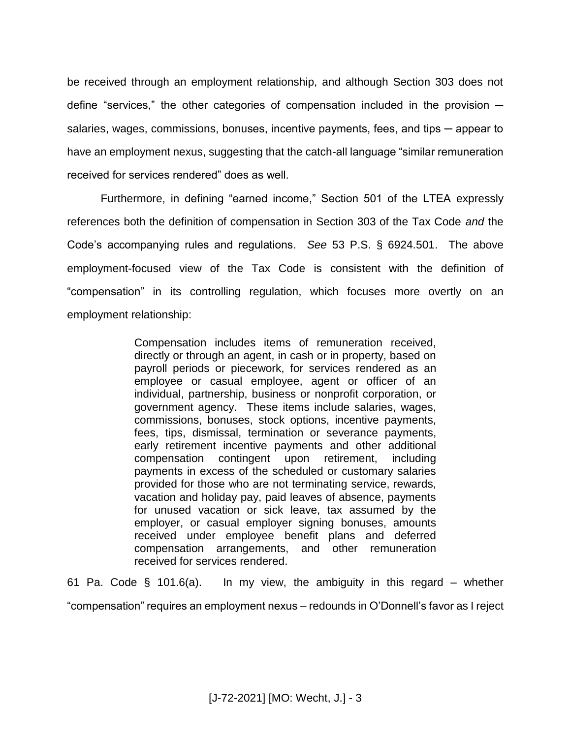be received through an employment relationship, and although Section 303 does not define "services," the other categories of compensation included in the provision  $$ salaries, wages, commissions, bonuses, incentive payments, fees, and tips — appear to have an employment nexus, suggesting that the catch-all language "similar remuneration received for services rendered" does as well.

Furthermore, in defining "earned income," Section 501 of the LTEA expressly references both the definition of compensation in Section 303 of the Tax Code *and* the Code's accompanying rules and regulations. *See* 53 P.S. § 6924.501. The above employment-focused view of the Tax Code is consistent with the definition of "compensation" in its controlling regulation, which focuses more overtly on an employment relationship:

> Compensation includes items of remuneration received, directly or through an agent, in cash or in property, based on payroll periods or piecework, for services rendered as an employee or casual employee, agent or officer of an individual, partnership, business or nonprofit corporation, or government agency. These items include salaries, wages, commissions, bonuses, stock options, incentive payments, fees, tips, dismissal, termination or severance payments, early retirement incentive payments and other additional compensation contingent upon retirement, including payments in excess of the scheduled or customary salaries provided for those who are not terminating service, rewards, vacation and holiday pay, paid leaves of absence, payments for unused vacation or sick leave, tax assumed by the employer, or casual employer signing bonuses, amounts received under employee benefit plans and deferred compensation arrangements, and other remuneration received for services rendered.

61 Pa. Code  $\S$  101.6(a). In my view, the ambiguity in this regard – whether "compensation" requires an employment nexus – redounds in O'Donnell's favor as I reject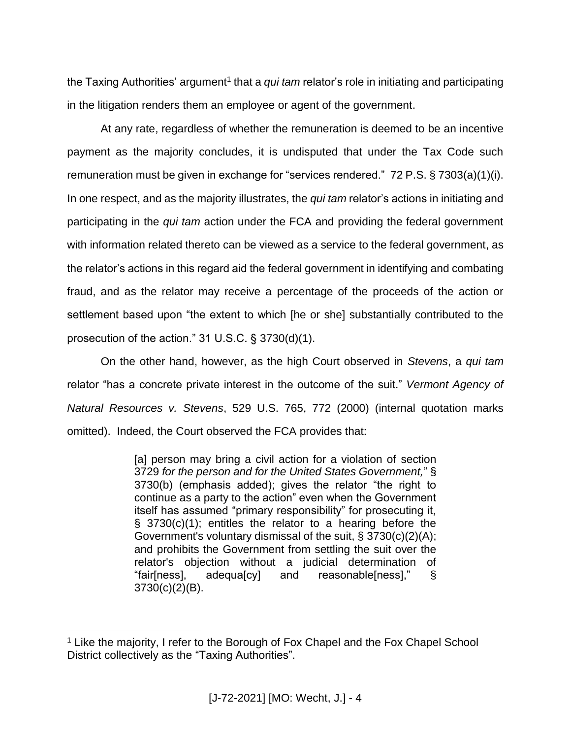the Taxing Authorities' argument<sup>1</sup> that a *qui tam* relator's role in initiating and participating in the litigation renders them an employee or agent of the government.

At any rate, regardless of whether the remuneration is deemed to be an incentive payment as the majority concludes, it is undisputed that under the Tax Code such remuneration must be given in exchange for "services rendered." 72 P.S. § 7303(a)(1)(i). In one respect, and as the majority illustrates, the *qui tam* relator's actions in initiating and participating in the *qui tam* action under the FCA and providing the federal government with information related thereto can be viewed as a service to the federal government, as the relator's actions in this regard aid the federal government in identifying and combating fraud, and as the relator may receive a percentage of the proceeds of the action or settlement based upon "the extent to which [he or she] substantially contributed to the prosecution of the action." 31 U.S.C. § 3730(d)(1).

On the other hand, however, as the high Court observed in *Stevens*, a *qui tam*  relator "has a concrete private interest in the outcome of the suit." *Vermont Agency of Natural Resources v. Stevens*, 529 U.S. 765, 772 (2000) (internal quotation marks omitted). Indeed, the Court observed the FCA provides that:

> [a] person may bring a civil action for a violation of section 3729 *for the person and for the United States Government,*" § 3730(b) (emphasis added); gives the relator "the right to continue as a party to the action" even when the Government itself has assumed "primary responsibility" for prosecuting it, § 3730(c)(1); entitles the relator to a hearing before the Government's voluntary dismissal of the suit, § 3730(c)(2)(A); and prohibits the Government from settling the suit over the relator's objection without a judicial determination of "fair[ness], adequa[cy] and reasonable[ness]," § 3730(c)(2)(B).

 $\overline{a}$ 

<sup>&</sup>lt;sup>1</sup> Like the majority, I refer to the Borough of Fox Chapel and the Fox Chapel School District collectively as the "Taxing Authorities".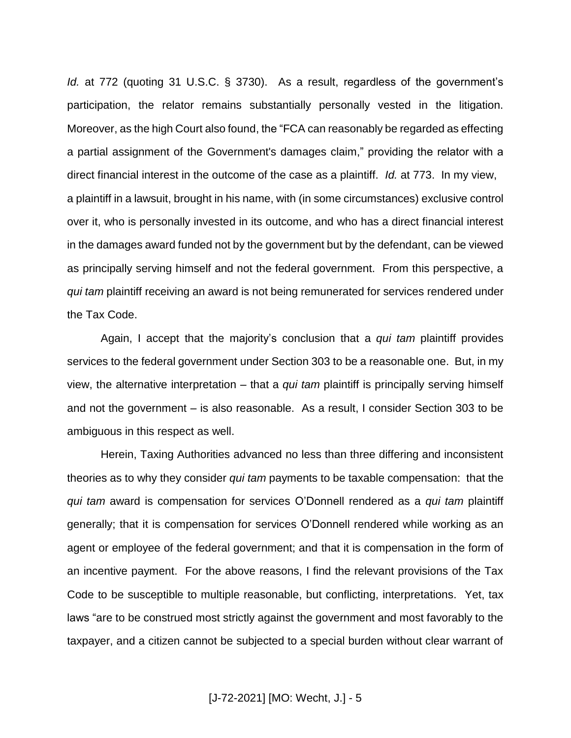*Id.* at 772 (quoting 31 U.S.C. § 3730). As a result, regardless of the government's participation, the relator remains substantially personally vested in the litigation. Moreover, as the high Court also found, the "FCA can reasonably be regarded as effecting a partial assignment of the Government's damages claim," providing the relator with a direct financial interest in the outcome of the case as a plaintiff. *Id.* at 773. In my view, a plaintiff in a lawsuit, brought in his name, with (in some circumstances) exclusive control over it, who is personally invested in its outcome, and who has a direct financial interest in the damages award funded not by the government but by the defendant, can be viewed as principally serving himself and not the federal government. From this perspective, a *qui tam* plaintiff receiving an award is not being remunerated for services rendered under the Tax Code.

Again, I accept that the majority's conclusion that a *qui tam* plaintiff provides services to the federal government under Section 303 to be a reasonable one. But, in my view, the alternative interpretation – that a *qui tam* plaintiff is principally serving himself and not the government – is also reasonable. As a result, I consider Section 303 to be ambiguous in this respect as well.

Herein, Taxing Authorities advanced no less than three differing and inconsistent theories as to why they consider *qui tam* payments to be taxable compensation: that the *qui tam* award is compensation for services O'Donnell rendered as a *qui tam* plaintiff generally; that it is compensation for services O'Donnell rendered while working as an agent or employee of the federal government; and that it is compensation in the form of an incentive payment. For the above reasons, I find the relevant provisions of the Tax Code to be susceptible to multiple reasonable, but conflicting, interpretations. Yet, tax laws "are to be construed most strictly against the government and most favorably to the taxpayer, and a citizen cannot be subjected to a special burden without clear warrant of